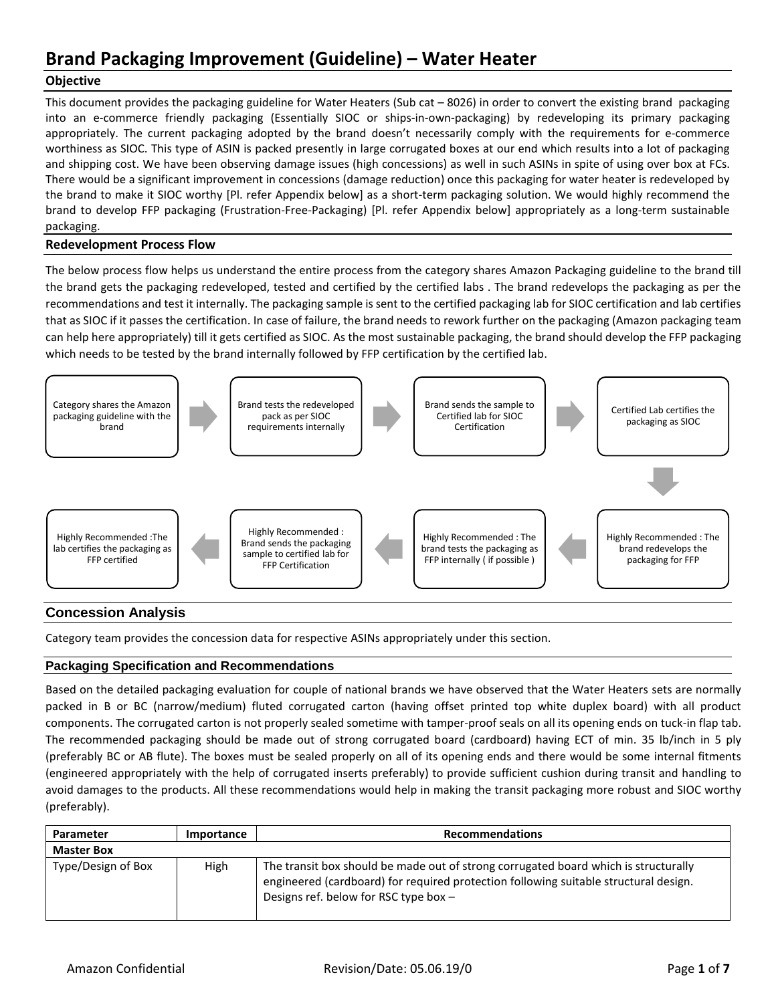### **Objective**

This document provides the packaging guideline for Water Heaters (Sub cat – 8026) in order to convert the existing brand packaging into an e-commerce friendly packaging (Essentially SIOC or ships-in-own-packaging) by redeveloping its primary packaging appropriately. The current packaging adopted by the brand doesn't necessarily comply with the requirements for e-commerce worthiness as SIOC. This type of ASIN is packed presently in large corrugated boxes at our end which results into a lot of packaging and shipping cost. We have been observing damage issues (high concessions) as well in such ASINs in spite of using over box at FCs. There would be a significant improvement in concessions (damage reduction) once this packaging for water heater is redeveloped by the brand to make it SIOC worthy [Pl. refer Appendix below] as a short-term packaging solution. We would highly recommend the brand to develop FFP packaging (Frustration-Free-Packaging) [Pl. refer Appendix below] appropriately as a long-term sustainable packaging.

#### **Redevelopment Process Flow**

The below process flow helps us understand the entire process from the category shares Amazon Packaging guideline to the brand till the brand gets the packaging redeveloped, tested and certified by the certified labs . The brand redevelops the packaging as per the recommendations and test it internally. The packaging sample is sent to the certified packaging lab for SIOC certification and lab certifies that as SIOC if it passes the certification. In case of failure, the brand needs to rework further on the packaging (Amazon packaging team can help here appropriately) till it gets certified as SIOC. As the most sustainable packaging, the brand should develop the FFP packaging which needs to be tested by the brand internally followed by FFP certification by the certified lab.



### **Concession Analysis**

Category team provides the concession data for respective ASINs appropriately under this section.

#### **Packaging Specification and Recommendations**

Based on the detailed packaging evaluation for couple of national brands we have observed that the Water Heaters sets are normally packed in B or BC (narrow/medium) fluted corrugated carton (having offset printed top white duplex board) with all product components. The corrugated carton is not properly sealed sometime with tamper-proof seals on all its opening ends on tuck-in flap tab. The recommended packaging should be made out of strong corrugated board (cardboard) having ECT of min. 35 lb/inch in 5 ply (preferably BC or AB flute). The boxes must be sealed properly on all of its opening ends and there would be some internal fitments (engineered appropriately with the help of corrugated inserts preferably) to provide sufficient cushion during transit and handling to avoid damages to the products. All these recommendations would help in making the transit packaging more robust and SIOC worthy (preferably).

| Parameter          | Importance | <b>Recommendations</b>                                                                                                                                                                                                 |
|--------------------|------------|------------------------------------------------------------------------------------------------------------------------------------------------------------------------------------------------------------------------|
| <b>Master Box</b>  |            |                                                                                                                                                                                                                        |
| Type/Design of Box | High       | The transit box should be made out of strong corrugated board which is structurally<br>engineered (cardboard) for required protection following suitable structural design.<br>Designs ref. below for RSC type box $-$ |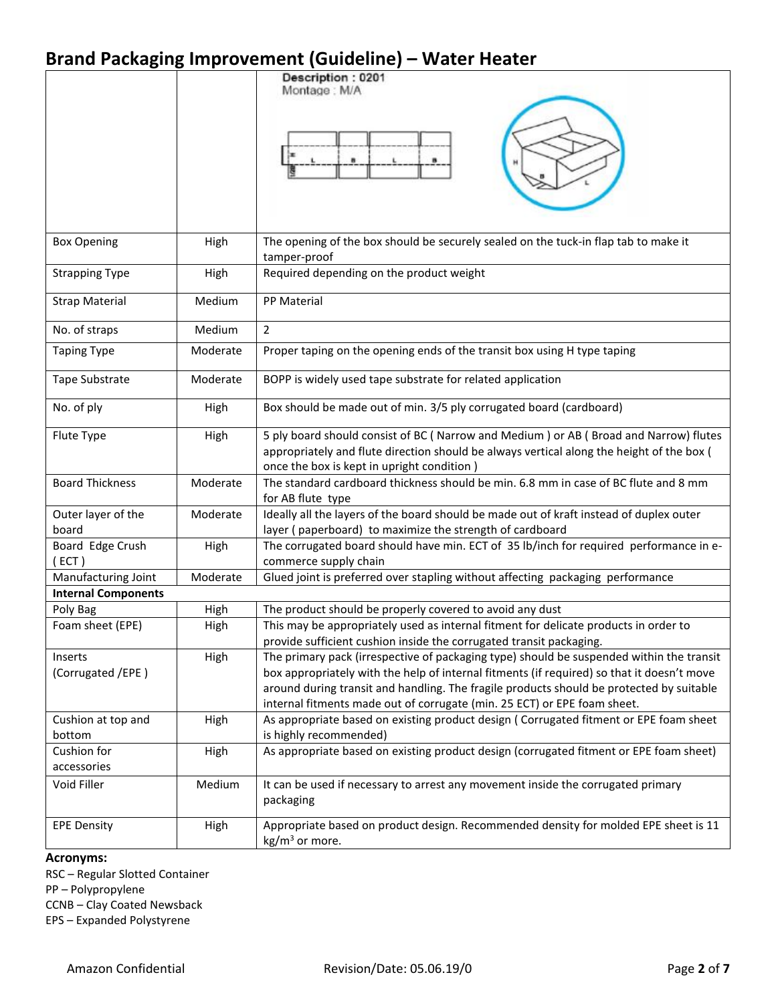| סיייס אייש יי איי            |          | $\sqrt{2}$                                                                                                                                                                                                                                                                                                                                                     |  |
|------------------------------|----------|----------------------------------------------------------------------------------------------------------------------------------------------------------------------------------------------------------------------------------------------------------------------------------------------------------------------------------------------------------------|--|
|                              |          | Description: 0201<br>Montage: M/A                                                                                                                                                                                                                                                                                                                              |  |
| <b>Box Opening</b>           | High     | The opening of the box should be securely sealed on the tuck-in flap tab to make it<br>tamper-proof                                                                                                                                                                                                                                                            |  |
| <b>Strapping Type</b>        | High     | Required depending on the product weight                                                                                                                                                                                                                                                                                                                       |  |
| <b>Strap Material</b>        | Medium   | PP Material                                                                                                                                                                                                                                                                                                                                                    |  |
| No. of straps                | Medium   | $\overline{2}$                                                                                                                                                                                                                                                                                                                                                 |  |
| <b>Taping Type</b>           | Moderate | Proper taping on the opening ends of the transit box using H type taping                                                                                                                                                                                                                                                                                       |  |
| Tape Substrate               | Moderate | BOPP is widely used tape substrate for related application                                                                                                                                                                                                                                                                                                     |  |
| No. of ply                   | High     | Box should be made out of min. 3/5 ply corrugated board (cardboard)                                                                                                                                                                                                                                                                                            |  |
| Flute Type                   | High     | 5 ply board should consist of BC (Narrow and Medium) or AB (Broad and Narrow) flutes<br>appropriately and flute direction should be always vertical along the height of the box (<br>once the box is kept in upright condition)                                                                                                                                |  |
| <b>Board Thickness</b>       | Moderate | The standard cardboard thickness should be min. 6.8 mm in case of BC flute and 8 mm<br>for AB flute type                                                                                                                                                                                                                                                       |  |
| Outer layer of the           | Moderate | Ideally all the layers of the board should be made out of kraft instead of duplex outer                                                                                                                                                                                                                                                                        |  |
| board                        |          | layer (paperboard) to maximize the strength of cardboard                                                                                                                                                                                                                                                                                                       |  |
| Board Edge Crush<br>ECT)     | High     | The corrugated board should have min. ECT of 35 lb/inch for required performance in e-<br>commerce supply chain                                                                                                                                                                                                                                                |  |
| Manufacturing Joint          | Moderate | Glued joint is preferred over stapling without affecting packaging performance                                                                                                                                                                                                                                                                                 |  |
| <b>Internal Components</b>   |          |                                                                                                                                                                                                                                                                                                                                                                |  |
| Poly Bag                     | High     | The product should be properly covered to avoid any dust                                                                                                                                                                                                                                                                                                       |  |
| Foam sheet (EPE)             | High     | This may be appropriately used as internal fitment for delicate products in order to<br>provide sufficient cushion inside the corrugated transit packaging.                                                                                                                                                                                                    |  |
| Inserts<br>(Corrugated /EPE) | High     | The primary pack (irrespective of packaging type) should be suspended within the transit<br>box appropriately with the help of internal fitments (if required) so that it doesn't move<br>around during transit and handling. The fragile products should be protected by suitable<br>internal fitments made out of corrugate (min. 25 ECT) or EPE foam sheet. |  |
| Cushion at top and<br>bottom | High     | As appropriate based on existing product design (Corrugated fitment or EPE foam sheet<br>is highly recommended)                                                                                                                                                                                                                                                |  |
| Cushion for<br>accessories   | High     | As appropriate based on existing product design (corrugated fitment or EPE foam sheet)                                                                                                                                                                                                                                                                         |  |
| Void Filler                  | Medium   | It can be used if necessary to arrest any movement inside the corrugated primary<br>packaging                                                                                                                                                                                                                                                                  |  |
| <b>EPE Density</b>           | High     | Appropriate based on product design. Recommended density for molded EPE sheet is 11<br>$kg/m3$ or more.                                                                                                                                                                                                                                                        |  |

### **Acronyms:**

RSC – Regular Slotted Container PP – Polypropylene CCNB – Clay Coated Newsback EPS – Expanded Polystyrene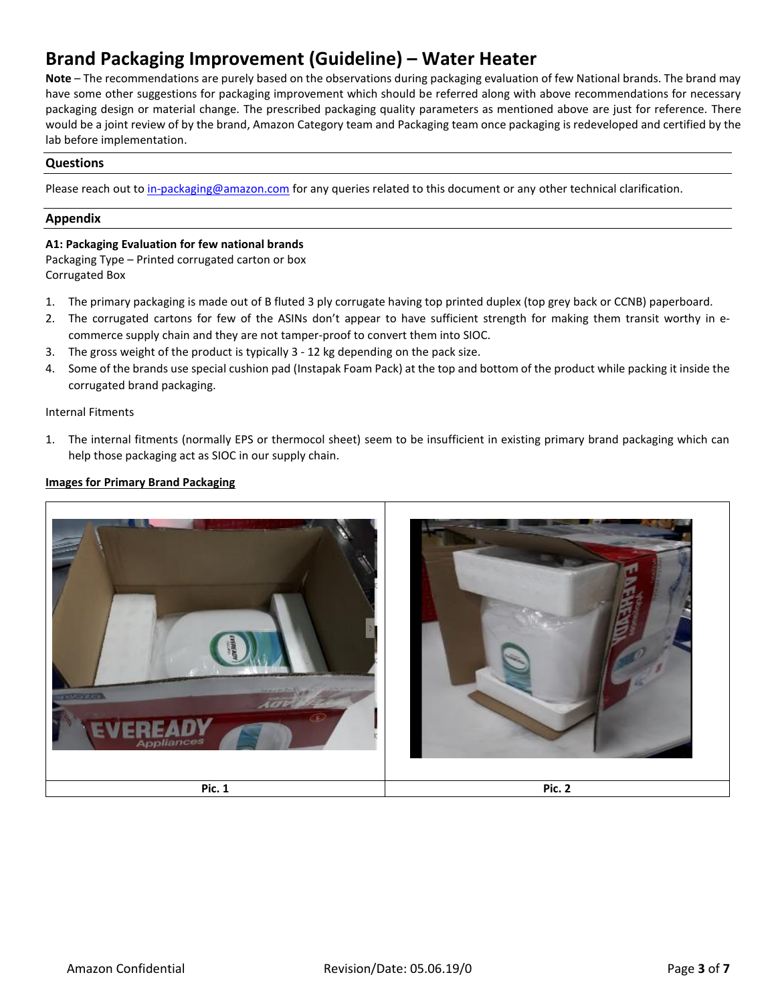Note – The recommendations are purely based on the observations during packaging evaluation of few National brands. The brand may have some other suggestions for packaging improvement which should be referred along with above recommendations for necessary packaging design or material change. The prescribed packaging quality parameters as mentioned above are just for reference. There would be a joint review of by the brand, Amazon Category team and Packaging team once packaging is redeveloped and certified by the lab before implementation.

#### **Questions**

Please reach out t[o in-packaging@amazon.com](mailto:in-packaging@amazon.com) for any queries related to this document or any other technical clarification.

#### **Appendix**

#### **A1: Packaging Evaluation for few national brands**

Packaging Type – Printed corrugated carton or box Corrugated Box

- 1. The primary packaging is made out of B fluted 3 ply corrugate having top printed duplex (top grey back or CCNB) paperboard.
- 2. The corrugated cartons for few of the ASINs don't appear to have sufficient strength for making them transit worthy in ecommerce supply chain and they are not tamper-proof to convert them into SIOC.
- 3. The gross weight of the product is typically 3 12 kg depending on the pack size.
- 4. Some of the brands use special cushion pad (Instapak Foam Pack) at the top and bottom of the product while packing it inside the corrugated brand packaging.

Internal Fitments

1. The internal fitments (normally EPS or thermocol sheet) seem to be insufficient in existing primary brand packaging which can help those packaging act as SIOC in our supply chain.

#### **Images for Primary Brand Packaging**

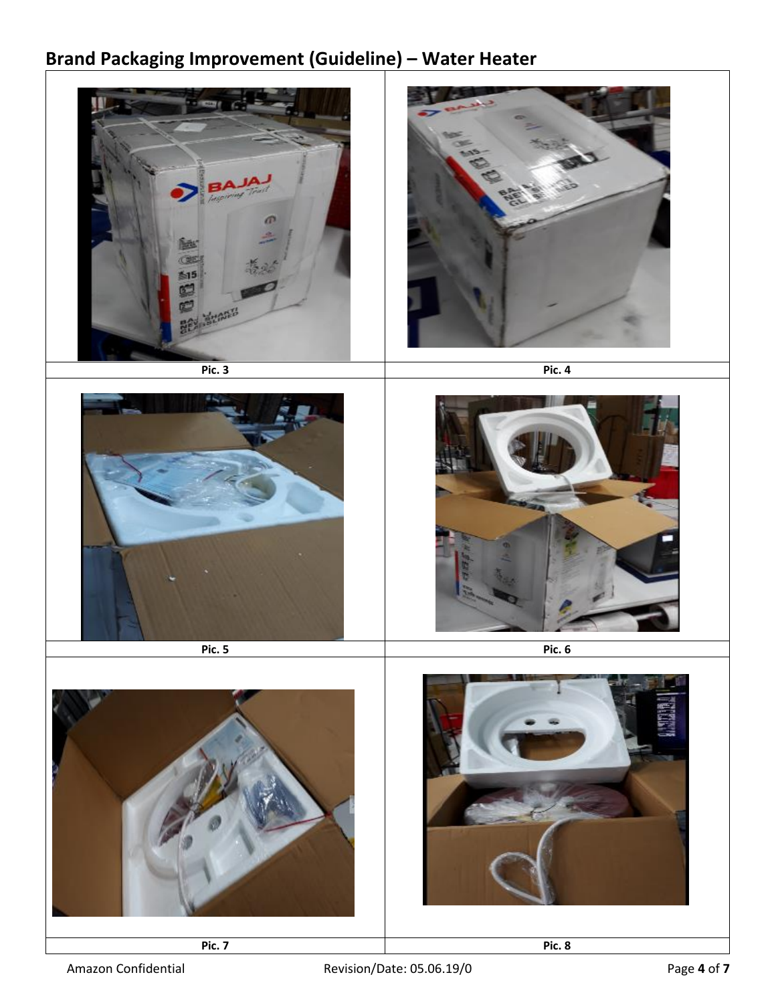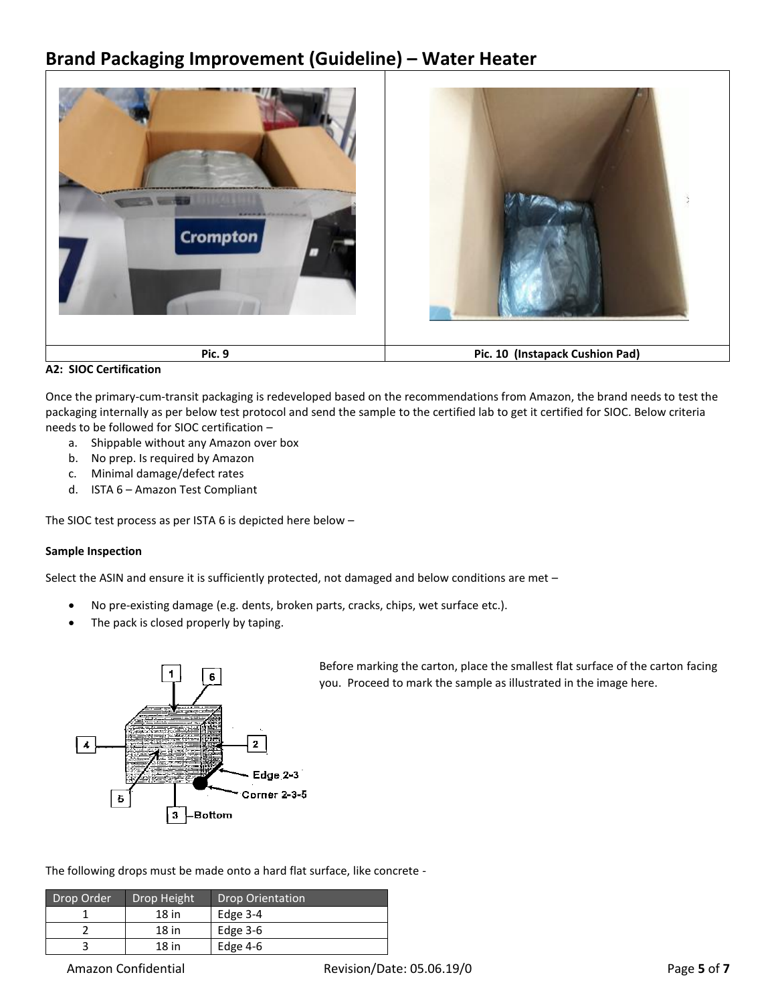

**A2: SIOC Certification** 

Once the primary-cum-transit packaging is redeveloped based on the recommendations from Amazon, the brand needs to test the packaging internally as per below test protocol and send the sample to the certified lab to get it certified for SIOC. Below criteria needs to be followed for SIOC certification –

- a. Shippable without any Amazon over box
- b. No prep. Is required by Amazon
- c. Minimal damage/defect rates
- d. ISTA 6 Amazon Test Compliant

The SIOC test process as per ISTA 6 is depicted here below –

#### **Sample Inspection**

Select the ASIN and ensure it is sufficiently protected, not damaged and below conditions are met –

- No pre-existing damage (e.g. dents, broken parts, cracks, chips, wet surface etc.).
- The pack is closed properly by taping.



Before marking the carton, place the smallest flat surface of the carton facing you. Proceed to mark the sample as illustrated in the image here.

The following drops must be made onto a hard flat surface, like concrete -

| Drop Order | Drop Height | Drop Orientation |
|------------|-------------|------------------|
|            | 18 in       | Edge $3-4$       |
|            | 18 in       | Edge $3-6$       |
|            | $18$ in     | Edge $4-6$       |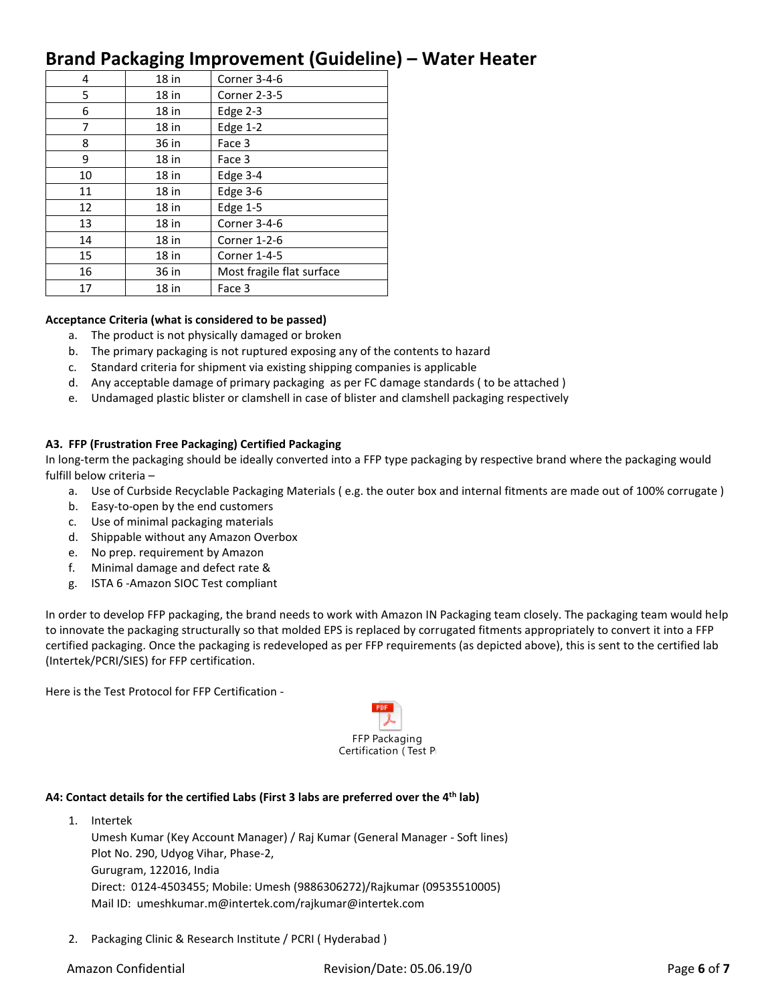| 4  | 18 in | Corner 3-4-6              |
|----|-------|---------------------------|
| 5  | 18 in | <b>Corner 2-3-5</b>       |
| 6  | 18 in | Edge $2-3$                |
| 7  | 18 in | Edge $1-2$                |
| 8  | 36 in | Face 3                    |
| 9  | 18 in | Face 3                    |
| 10 | 18 in | Edge 3-4                  |
| 11 | 18 in | Edge 3-6                  |
| 12 | 18 in | Edge $1-5$                |
| 13 | 18 in | Corner 3-4-6              |
| 14 | 18 in | Corner 1-2-6              |
| 15 | 18 in | <b>Corner 1-4-5</b>       |
| 16 | 36 in | Most fragile flat surface |
| 17 | 18 in | Face 3                    |

#### **Acceptance Criteria (what is considered to be passed)**

- a. The product is not physically damaged or broken
- b. The primary packaging is not ruptured exposing any of the contents to hazard
- c. Standard criteria for shipment via existing shipping companies is applicable
- d. Any acceptable damage of primary packaging as per FC damage standards ( to be attached )
- e. Undamaged plastic blister or clamshell in case of blister and clamshell packaging respectively

#### **A3. FFP (Frustration Free Packaging) Certified Packaging**

In long-term the packaging should be ideally converted into a FFP type packaging by respective brand where the packaging would fulfill below criteria –

- a. Use of Curbside Recyclable Packaging Materials ( e.g. the outer box and internal fitments are made out of 100% corrugate )
- b. Easy-to-open by the end customers
- c. Use of minimal packaging materials
- d. Shippable without any Amazon Overbox
- e. No prep. requirement by Amazon
- f. Minimal damage and defect rate &
- g. ISTA 6 -Amazon SIOC Test compliant

In order to develop FFP packaging, the brand needs to work with Amazon IN Packaging team closely. The packaging team would help to innovate the packaging structurally so that molded EPS is replaced by corrugated fitments appropriately to convert it into a FFP certified packaging. Once the packaging is redeveloped as per FFP requirements (as depicted above), this is sent to the certified lab (Intertek/PCRI/SIES) for FFP certification.

Here is the Test Protocol for FFP Certification -



#### **A4: Contact details for the certified Labs (First 3 labs are preferred over the 4th lab)**

1. Intertek

Umesh Kumar (Key Account Manager) / Raj Kumar (General Manager - Soft lines) Plot No. 290, Udyog Vihar, Phase-2, Gurugram, 122016, India Direct: 0124-4503455; Mobile: Umesh (9886306272)/Rajkumar (09535510005) Mail ID: [umeshkumar.m@intertek.com/](mailto:umeshkumar.m@intertek.com)rajkumar@intertek.com

2. Packaging Clinic & Research Institute / PCRI ( Hyderabad )